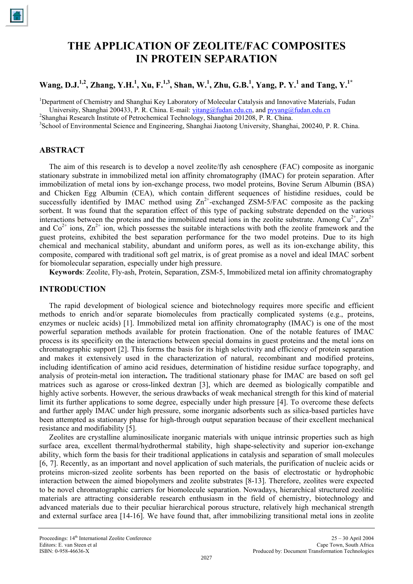# **THE APPLICATION OF ZEOLITE/FAC COMPOSITES IN PROTEIN SEPARATION**

# **Wang, D.J.1,2 , Zhang, Y.H.1 , Xu, F.1,3 , Shan, W.1 , Zhu, G.B.<sup>1</sup> , Yang, P. Y.<sup>1</sup> and Tang, Y.1\***

<sup>1</sup>Department of Chemistry and Shanghai Key Laboratory of Molecular Catalysis and Innovative Materials, Fudan University, Shanghai 200433, P. R. China. E-mail: [yitang@fudan.edu.cn](mailto:yitang@fudan.edu.cn), and [pyyang@fudan.edu.cn](mailto:pyyang@fudan.edu.cn)

<sup>2</sup>Shanghai Research Institute of Petrochemical Technology, Shanghai 201208, P. R. China.

<sup>3</sup>School of Environmental Science and Engineering, Shanghai Jiaotong University, Shanghai, 200240, P. R. China.

# **ABSTRACT**

The aim of this research is to develop a novel zeolite/fly ash cenosphere (FAC) composite as inorganic stationary substrate in immobilized metal ion affinity chromatography (IMAC) for protein separation. After immobilization of metal ions by ion-exchange process, two model proteins, Bovine Serum Albumin (BSA) and Chicken Egg Albumin (CEA), which contain different sequences of histidine residues, could be successfully identified by IMAC method using  $\text{Zn}^{2+}$ -exchanged  $\text{ZSM-5/FAC}$  composite as the packing sorbent. It was found that the separation effect of this type of packing substrate depended on the various interactions between the proteins and the immobilized metal ions in the zeolite substrate. Among  $Cu^{2+}$ ,  $Zn^{2+}$ and  $Co^{2+}$  ions,  $Zn^{2+}$  ion, which possesses the suitable interactions with both the zeolite framework and the guest proteins, exhibited the best separation performance for the two model proteins. Due to its high chemical and mechanical stability, abundant and uniform pores, as well as its ion-exchange ability, this composite, compared with traditional soft gel matrix, is of great promise as a novel and ideal IMAC sorbent for biomolecular separation, especially under high pressure.

**Keywords**: Zeolite, Fly-ash, Protein, Separation, ZSM-5, Immobilized metal ion affinity chromatography

# **INTRODUCTION**

The rapid development of biological science and biotechnology requires more specific and efficient methods to enrich and/or separate biomolecules from practically complicated systems (e.g., proteins, enzymes or nucleic acids) [1]. Immobilized metal ion affinity chromatography (IMAC) is one of the most powerful separation methods available for protein fractionation. One of the notable features of IMAC process is its specificity on the interactions between special domains in guest proteins and the metal ions on chromatographic support [2]. This forms the basis for its high selectivity and efficiency of protein separation and makes it extensively used in the characterization of natural, recombinant and modified proteins, including identification of amino acid residues, determination of histidine residue surface topography, and analysis of protein-metal ion interaction**.** The traditional stationary phase for IMAC are based on soft gel matrices such as agarose or cross-linked dextran [3], which are deemed as biologically compatible and highly active sorbents. However, the serious drawbacks of weak mechanical strength for this kind of material limit its further applications to some degree, especially under high pressure [4]. To overcome these defects and further apply IMAC under high pressure, some inorganic adsorbents such as silica-based particles have been attempted as stationary phase for high-through output separation because of their excellent mechanical resistance and modifiability [5].

Zeolites are crystalline aluminosilicate inorganic materials with unique intrinsic properties such as high surface area, excellent thermal/hydrothermal stability, high shape-selectivity and superior ion-exchange ability, which form the basis for their traditional applications in catalysis and separation of small molecules [6, 7]. Recently, as an important and novel application of such materials, the purification of nucleic acids or proteins micron-sized zeolite sorbents has been reported on the basis of electrostatic or hydrophobic interaction between the aimed biopolymers and zeolite substrates [8-13]. Therefore, zeolites were expected to be novel chromatographic carriers for biomolecule separation. Nowadays, hierarchical structured zeolitic materials are attracting considerable research enthusiasm in the field of chemistry, biotechnology and advanced materials due to their peculiar hierarchical porous structure, relatively high mechanical strength and external surface area [14-16]. We have found that, after immobilizing transitional metal ions in zeolite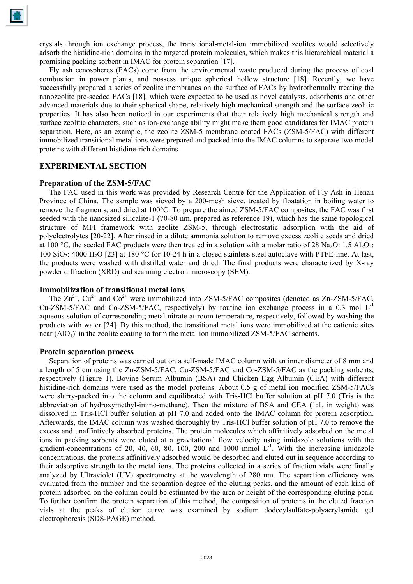crystals through ion exchange process, the transitional-metal-ion immobilized zeolites would selectively adsorb the histidine-rich domains in the targeted protein molecules, which makes this hierarchical material a promising packing sorbent in IMAC for protein separation [17].

Fly ash cenospheres (FACs) come from the environmental waste produced during the process of coal combustion in power plants, and possess unique spherical hollow structure [18]. Recently, we have successfully prepared a series of zeolite membranes on the surface of FACs by hydrothermally treating the nanozeolite pre-seeded FACs [18], which were expected to be used as novel catalysts, adsorbents and other advanced materials due to their spherical shape, relatively high mechanical strength and the surface zeolitic properties. It has also been noticed in our experiments that their relatively high mechanical strength and surface zeolitic characters, such as ion-exchange ability might make them good candidates for IMAC protein separation. Here, as an example, the zeolite ZSM-5 membrane coated FACs (ZSM-5/FAC) with different immobilized transitional metal ions were prepared and packed into the IMAC columns to separate two model proteins with different histidine-rich domains.

## **EXPERIMENTAL SECTION**

#### **Preparation of the ZSM-5/FAC**

The FAC used in this work was provided by Research Centre for the Application of Fly Ash in Henan Province of China. The sample was sieved by a 200-mesh sieve, treated by floatation in boiling water to remove the fragments, and dried at 100°C. To prepare the aimed ZSM-5/FAC composites, the FAC was first seeded with the nanosized silicalite-1 (70-80 nm, prepared as reference 19), which has the same topological structure of MFI framework with zeolite ZSM-5, through electrostatic adsorption with the aid of polyelectrolytes [20-22]. After rinsed in a dilute ammonia solution to remove excess zeolite seeds and dried at 100 °C, the seeded FAC products were then treated in a solution with a molar ratio of 28 Na<sub>2</sub>O: 1.5 Al<sub>2</sub>O<sub>3</sub>: 100 SiO<sub>2</sub>: 4000 H<sub>2</sub>O [23] at 180 °C for 10-24 h in a closed stainless steel autoclave with PTFE-line. At last, the products were washed with distilled water and dried. The final products were characterized by X-ray powder diffraction (XRD) and scanning electron microscopy (SEM).

#### **Immobilization of transitional metal ions**

The  $\text{Zn}^{2+}$ ,  $\text{Cu}^{2+}$  and  $\text{Co}^{2+}$  were immobilized into ZSM-5/FAC composites (denoted as Zn-ZSM-5/FAC,  $Cu-ZSM-5/FAC$  and  $Co-ZSM-5/FAC$ , respectively) by routine ion exchange process in a 0.3 mol  $L^{-1}$ aqueous solution of corresponding metal nitrate at room temperature, respectively, followed by washing the products with water [24]. By this method, the transitional metal ions were immobilized at the cationic sites near  $(AIO<sub>4</sub>)$  in the zeolite coating to form the metal ion immobilized ZSM-5/FAC sorbents.

#### **Protein separation process**

Separation of proteins was carried out on a self-made IMAC column with an inner diameter of 8 mm and a length of 5 cm using the Zn-ZSM-5/FAC, Cu-ZSM-5/FAC and Co-ZSM-5/FAC as the packing sorbents, respectively (Figure 1). Bovine Serum Albumin (BSA) and Chicken Egg Albumin (CEA) with different histidine-rich domains were used as the model proteins. About 0.5 g of metal ion modified ZSM-5/FACs were slurry-packed into the column and equilibrated with Tris-HCl buffer solution at pH 7.0 (Tris is the abbreviation of hydroxymethyl-imino-methane). Then the mixture of BSA and CEA (1:1, in weight) was dissolved in Tris-HCl buffer solution at pH 7.0 and added onto the IMAC column for protein adsorption. Afterwards, the IMAC column was washed thoroughly by Tris-HCl buffer solution of pH 7.0 to remove the excess and unaffintively absorbed proteins. The protein molecules which affinitively adsorbed on the metal ions in packing sorbents were eluted at a gravitational flow velocity using imidazole solutions with the gradient-concentrations of 20, 40, 60, 80, 100, 200 and 1000 mmol  $L^{-1}$ . With the increasing imidazole concentrations, the proteins affinitively adsorbed would be desorbed and eluted out in sequence according to their adsorptive strength to the metal ions. The proteins collected in a series of fraction vials were finally analyzed by Ultraviolet (UV) spectrometry at the wavelength of 280 nm. The separation efficiency was evaluated from the number and the separation degree of the eluting peaks, and the amount of each kind of protein adsorbed on the column could be estimated by the area or height of the corresponding eluting peak. To further confirm the protein separation of this method, the composition of proteins in the eluted fraction vials at the peaks of elution curve was examined by sodium dodecylsulfate-polyacrylamide gel electrophoresis (SDS-PAGE) method.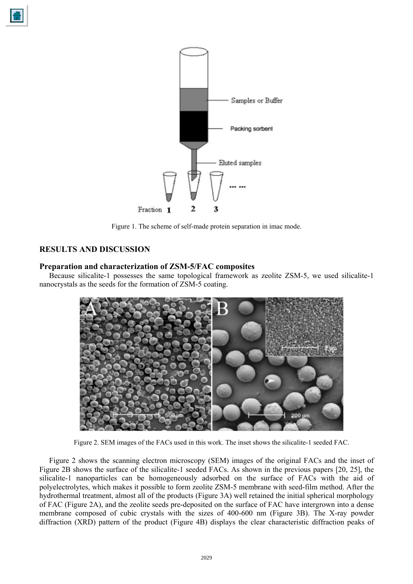



Figure 1. The scheme of self-made protein separation in imac mode.

# **RESULTS AND DISCUSSION**

## **Preparation and characterization of ZSM-5/FAC composites**

Because silicalite-1 possesses the same topological framework as zeolite ZSM-5, we used silicalite-1 nanocrystals as the seeds for the formation of ZSM-5 coating.



Figure 2. SEM images of the FACs used in this work. The inset shows the silicalite-1 seeded FAC.

Figure 2 shows the scanning electron microscopy (SEM) images of the original FACs and the inset of Figure 2B shows the surface of the silicalite-1 seeded FACs. As shown in the previous papers [20, 25], the silicalite-1 nanoparticles can be homogeneously adsorbed on the surface of FACs with the aid of polyelectrolytes, which makes it possible to form zeolite ZSM-5 membrane with seed-film method. After the hydrothermal treatment, almost all of the products (Figure 3A) well retained the initial spherical morphology of FAC (Figure 2A), and the zeolite seeds pre-deposited on the surface of FAC have intergrown into a dense membrane composed of cubic crystals with the sizes of 400-600 nm (Figure 3B). The X-ray powder diffraction (XRD) pattern of the product (Figure 4B) displays the clear characteristic diffraction peaks of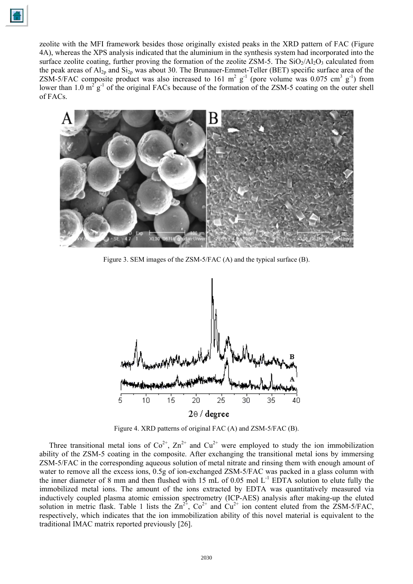zeolite with the MFI framework besides those originally existed peaks in the XRD pattern of FAC (Figure 4A), whereas the XPS analysis indicated that the aluminium in the synthesis system had incorporated into the surface zeolite coating, further proving the formation of the zeolite ZSM-5. The  $SiO_2/AI_2O_3$  calculated from the peak areas of  $Al_{2p}$  and  $Si_{2p}$  was about 30. The Brunauer-Emmet-Teller (BET) specific surface area of the ZSM-5/FAC composite product was also increased to 161 m<sup>2</sup> g<sup>-1</sup> (pore volume was 0.075 cm<sup>3</sup> g<sup>-1</sup>) from lower than 1.0  $m^2 g^{-1}$  of the original FACs because of the formation of the ZSM-5 coating on the outer shell of FACs.



Figure 3. SEM images of the ZSM-5/FAC (A) and the typical surface (B).



Figure 4. XRD patterns of original FAC (A) and ZSM-5/FAC (B).

Three transitional metal ions of  $Co^{2+}$ ,  $Zn^{2+}$  and  $Cu^{2+}$  were employed to study the ion immobilization ability of the ZSM-5 coating in the composite. After exchanging the transitional metal ions by immersing ZSM-5/FAC in the corresponding aqueous solution of metal nitrate and rinsing them with enough amount of water to remove all the excess ions, 0.5g of ion-exchanged ZSM-5/FAC was packed in a glass column with the inner diameter of 8 mm and then flushed with 15 mL of 0.05 mol  $L^{-1}$  EDTA solution to elute fully the immobilized metal ions. The amount of the ions extracted by EDTA was quantitatively measured via inductively coupled plasma atomic emission spectrometry (ICP-AES) analysis after making-up the eluted solution in metric flask. Table 1 lists the  $\text{Zn}^{2+}$ ,  $\text{Co}^{2+}$  and  $\text{Cu}^{2+}$  ion content eluted from the ZSM-5/FAC, respectively, which indicates that the ion immobilization ability of this novel material is equivalent to the traditional IMAC matrix reported previously [26].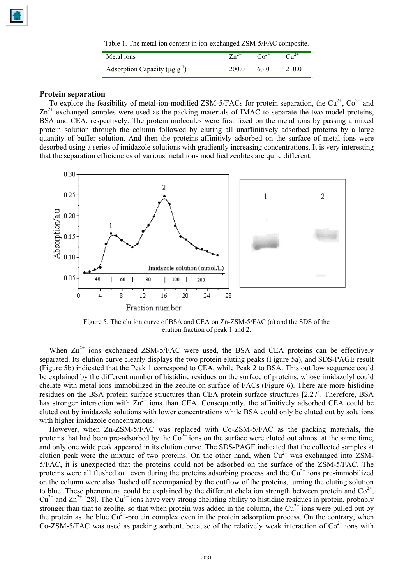Table 1. The metal ion content in ion-exchanged ZSM-5/FAC composite.

| Metal ions                                      | $Zn^{2+}$ |       |
|-------------------------------------------------|-----------|-------|
| Adsorption Capacity ( $\mu$ g g <sup>-1</sup> ) | 200.0     | 210.0 |

#### **Protein separation**

To explore the feasibility of metal-ion-modified ZSM-5/FACs for protein separation, the  $Cu^{2+}$ ,  $Co^{2+}$  and  $Zn^{2+}$  exchanged samples were used as the packing materials of IMAC to separate the two model proteins, BSA and CEA, respectively. The protein molecules were first fixed on the metal ions by passing a mixed protein solution through the column followed by eluting all unaffinitively adsorbed proteins by a large quantity of buffer solution. And then the proteins affinitivly adsorbed on the surface of metal ions were desorbed using a series of imidazole solutions with gradiently increasing concentrations. It is very interesting that the separation efficiencies of various metal ions modified zeolites are quite different.



Figure 5. The elution curve of BSA and CEA on Zn-ZSM-5/FAC (a) and the SDS of the elution fraction of peak 1 and 2.

When  $Zn^{2+}$  ions exchanged ZSM-5/FAC were used, the BSA and CEA proteins can be effectively separated. Its elution curve clearly displays the two protein eluting peaks (Figure 5a), and SDS-PAGE result (Figure 5b) indicated that the Peak 1 correspond to CEA, while Peak 2 to BSA. This outflow sequence could be explained by the different number of histidine residues on the surface of proteins, whose imidazolyl could chelate with metal ions immobilized in the zeolite on surface of FACs (Figure 6). There are more histidine residues on the BSA protein surface structures than CEA protein surface structures [2,27]. Therefore, BSA has stronger interaction with  $\text{Zn}^{2+}$  ions than CEA. Consequently, the affinitively adsorbed CEA could be eluted out by imidazole solutions with lower concentrations while BSA could only be eluted out by solutions with higher imidazole concentrations.

However, when Zn-ZSM-5/FAC was replaced with Co-ZSM-5/FAC as the packing materials, the proteins that had been pre-adsorbed by the  $Co^{2+}$  ions on the surface were eluted out almost at the same time, and only one wide peak appeared in its elution curve. The SDS-PAGE indicated that the collected samples at elution peak were the mixture of two proteins. On the other hand, when  $Cu^{2+}$  was exchanged into ZSM-5/FAC, it is unexpected that the proteins could not be adsorbed on the surface of the ZSM-5/FAC. The proteins were all flushed out even during the proteins adsorbing process and the  $Cu<sup>2+</sup>$  ions pre-immobilized on the column were also flushed off accompanied by the outflow of the proteins, turning the eluting solution to blue. These phenomena could be explained by the different chelation strength between protein and  $\text{Co}^{2+}$ ,  $Cu^{2+}$  and  $Zn^{2+}$  [28]. The  $Cu^{2+}$  ions have very strong chelating ability to histidine residues in protein, probably stronger than that to zeolite, so that when protein was added in the column, the  $Cu^{2+}$  ions were pulled out by the protein as the blue  $Cu^{2+}$ -protein complex even in the protein adsorption process. On the contrary, when Co-ZSM-5/FAC was used as packing sorbent, because of the relatively weak interaction of  $Co^{2+}$  ions with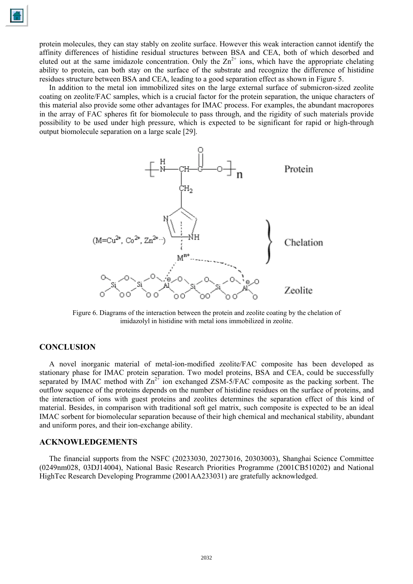protein molecules, they can stay stably on zeolite surface. However this weak interaction cannot identify the affinity differences of histidine residual structures between BSA and CEA, both of which desorbed and eluted out at the same imidazole concentration. Only the  $\text{Zn}^{2+}$  ions, which have the appropriate chelating ability to protein, can both stay on the surface of the substrate and recognize the difference of histidine residues structure between BSA and CEA, leading to a good separation effect as shown in Figure 5.

In addition to the metal ion immobilized sites on the large external surface of submicron-sized zeolite coating on zeolite/FAC samples, which is a crucial factor for the protein separation, the unique characters of this material also provide some other advantages for IMAC process. For examples, the abundant macropores in the array of FAC spheres fit for biomolecule to pass through, and the rigidity of such materials provide possibility to be used under high pressure, which is expected to be significant for rapid or high-through output biomolecule separation on a large scale [29].



Figure 6. Diagrams of the interaction between the protein and zeolite coating by the chelation of imidazolyl in histidine with metal ions immobilized in zeolite.

### **CONCLUSION**

A novel inorganic material of metal-ion-modified zeolite/FAC composite has been developed as stationary phase for IMAC protein separation. Two model proteins, BSA and CEA, could be successfully separated by IMAC method with  $\text{Zn}^{2+}$  ion exchanged ZSM-5/FAC composite as the packing sorbent. The outflow sequence of the proteins depends on the number of histidine residues on the surface of proteins, and the interaction of ions with guest proteins and zeolites determines the separation effect of this kind of material. Besides, in comparison with traditional soft gel matrix, such composite is expected to be an ideal IMAC sorbent for biomolecular separation because of their high chemical and mechanical stability, abundant and uniform pores, and their ion-exchange ability.

#### **ACKNOWLEDGEMENTS**

The financial supports from the NSFC (20233030, 20273016, 20303003), Shanghai Science Committee (0249nm028, 03DJ14004), National Basic Research Priorities Programme (2001CB510202) and National HighTec Research Developing Programme (2001AA233031) are gratefully acknowledged.